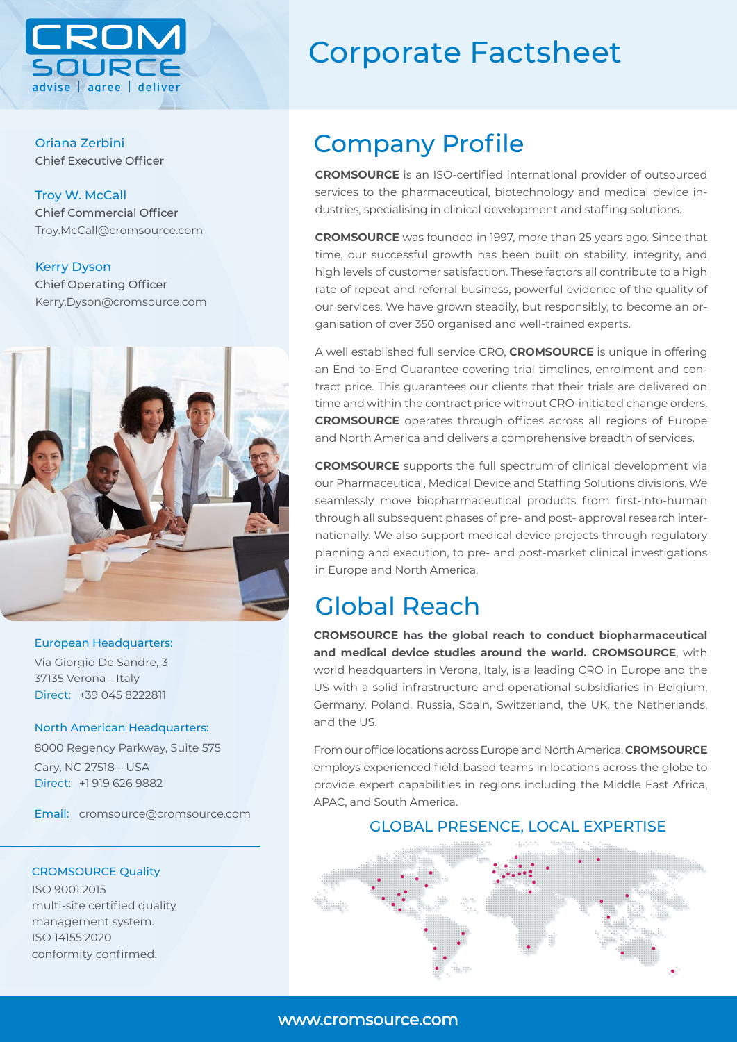

Oriana Zerbini Chief Executive Officer

Troy W. McCall Chief Commercial Officer Troy.McCall@cromsource.com

Kerry Dyson Chief Operating Officer Kerry.Dyson@cromsource.com



## European Headquarters:

Via Giorgio De Sandre, 3 37135 Verona - Italy Direct: +39 045 8222811

## North American Headquarters:

8000 Regency Parkway, Suite 575 Cary, NC 27518 – USA Direct: +1 919 626 9882

Email: cromsource@cromsource.com

## CROMSOURCE Quality

ISO 9001:2015 multi-site certified quality management system. ISO 14155:2020 conformity confirmed.

## Corporate Factsheet

## Company Profile

**CROMSOURCE** is an ISO-certified international provider of outsourced services to the pharmaceutical, biotechnology and medical device industries, specialising in clinical development and staffing solutions.

**CROMSOURCE** was founded in 1997, more than 25 years ago. Since that time, our successful growth has been built on stability, integrity, and high levels of customer satisfaction. These factors all contribute to a high rate of repeat and referral business, powerful evidence of the quality of our services. We have grown steadily, but responsibly, to become an organisation of over 350 organised and well-trained experts.

A well established full service CRO, **CROMSOURCE** is unique in offering an End-to-End Guarantee covering trial timelines, enrolment and contract price. This guarantees our clients that their trials are delivered on time and within the contract price without CRO-initiated change orders. **CROMSOURCE** operates through offices across all regions of Europe and North America and delivers a comprehensive breadth of services.

**CROMSOURCE** supports the full spectrum of clinical development via our Pharmaceutical, Medical Device and Staffing Solutions divisions. We seamlessly move biopharmaceutical products from first-into-human through all subsequent phases of pre- and post- approval research internationally. We also support medical device projects through regulatory planning and execution, to pre- and post-market clinical investigations in Europe and North America.

## Global Reach

**CROMSOURCE has the global reach to conduct biopharmaceutical and medical device studies around the world. CROMSOURCE**, with world headquarters in Verona, Italy, is a leading CRO in Europe and the US with a solid infrastructure and operational subsidiaries in Belgium, Germany, Poland, Russia, Spain, Switzerland, the UK, the Netherlands, and the US.

From our office locations across Europe and North America, **CROMSOURCE** employs experienced field-based teams in locations across the globe to provide expert capabilities in regions including the Middle East Africa, APAC, and South America.

## GLOBAL PRESENCE, LOCAL EXPERTISE